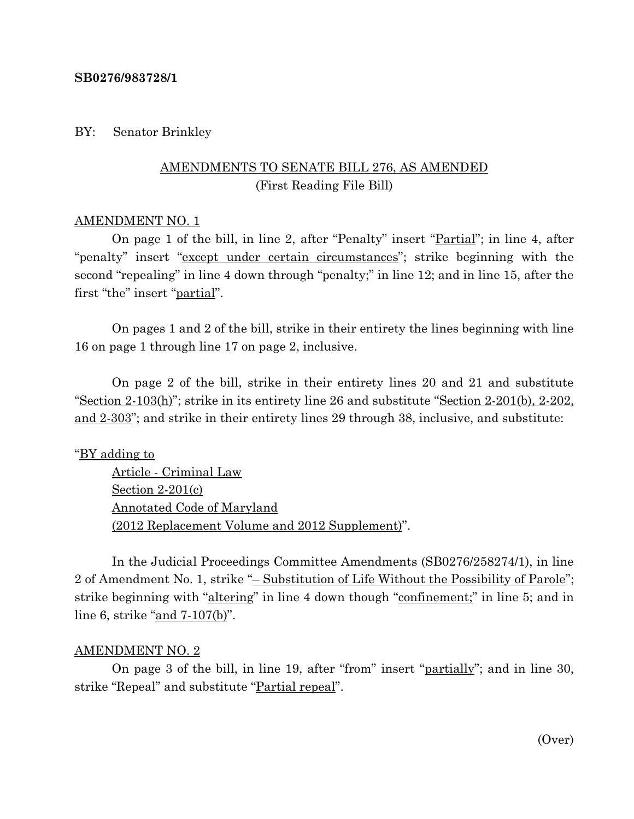### **SB0276/983728/1**

## BY: Senator Brinkley

# AMENDMENTS TO SENATE BILL 276, AS AMENDED (First Reading File Bill)

### AMENDMENT NO. 1

On page 1 of the bill, in line 2, after "Penalty" insert "Partial"; in line 4, after "penalty" insert "except under certain circumstances"; strike beginning with the second "repealing" in line 4 down through "penalty;" in line 12; and in line 15, after the first "the" insert "partial".

On pages 1 and 2 of the bill, strike in their entirety the lines beginning with line 16 on page 1 through line 17 on page 2, inclusive.

On page 2 of the bill, strike in their entirety lines 20 and 21 and substitute "Section 2-103(h)"; strike in its entirety line 26 and substitute "Section 2-201(b), 2-202, and 2-303"; and strike in their entirety lines 29 through 38, inclusive, and substitute:

## "BY adding to

Article - Criminal Law Section 2-201(c) Annotated Code of Maryland (2012 Replacement Volume and 2012 Supplement)".

In the Judicial Proceedings Committee Amendments (SB0276/258274/1), in line 2 of Amendment No. 1, strike "– Substitution of Life Without the Possibility of Parole"; strike beginning with "altering" in line 4 down though "confinement;" in line 5; and in line 6, strike "and 7-107(b)".

#### AMENDMENT NO. 2

On page 3 of the bill, in line 19, after "from" insert "partially"; and in line 30, strike "Repeal" and substitute "Partial repeal".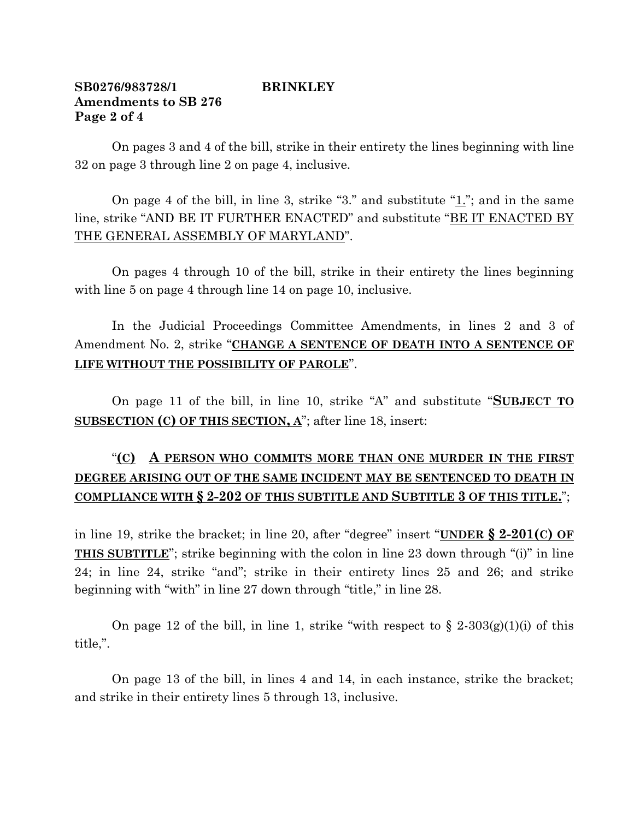## **SB0276/983728/1 BRINKLEY Amendments to SB 276 Page 2 of 4**

On pages 3 and 4 of the bill, strike in their entirety the lines beginning with line 32 on page 3 through line 2 on page 4, inclusive.

On page 4 of the bill, in line 3, strike "3." and substitute " $\underline{1}$ "; and in the same line, strike "AND BE IT FURTHER ENACTED" and substitute "BE IT ENACTED BY THE GENERAL ASSEMBLY OF MARYLAND".

On pages 4 through 10 of the bill, strike in their entirety the lines beginning with line 5 on page 4 through line 14 on page 10, inclusive.

In the Judicial Proceedings Committee Amendments, in lines 2 and 3 of Amendment No. 2, strike "**CHANGE A SENTENCE OF DEATH INTO A SENTENCE OF LIFE WITHOUT THE POSSIBILITY OF PAROLE**".

On page 11 of the bill, in line 10, strike "A" and substitute "**SUBJECT TO SUBSECTION (C) OF THIS SECTION, A**"; after line 18, insert:

# "**(C) A PERSON WHO COMMITS MORE THAN ONE MURDER IN THE FIRST DEGREE ARISING OUT OF THE SAME INCIDENT MAY BE SENTENCED TO DEATH IN COMPLIANCE WITH § 2-202 OF THIS SUBTITLE AND SUBTITLE 3 OF THIS TITLE.**";

in line 19, strike the bracket; in line 20, after "degree" insert "**UNDER § 2-201(C) OF THIS SUBTITLE**"; strike beginning with the colon in line 23 down through "(i)" in line 24; in line 24, strike "and"; strike in their entirety lines 25 and 26; and strike beginning with "with" in line 27 down through "title," in line 28.

On page 12 of the bill, in line 1, strike "with respect to  $\S 2-303(g)(1)(i)$  of this title,".

On page 13 of the bill, in lines 4 and 14, in each instance, strike the bracket; and strike in their entirety lines 5 through 13, inclusive.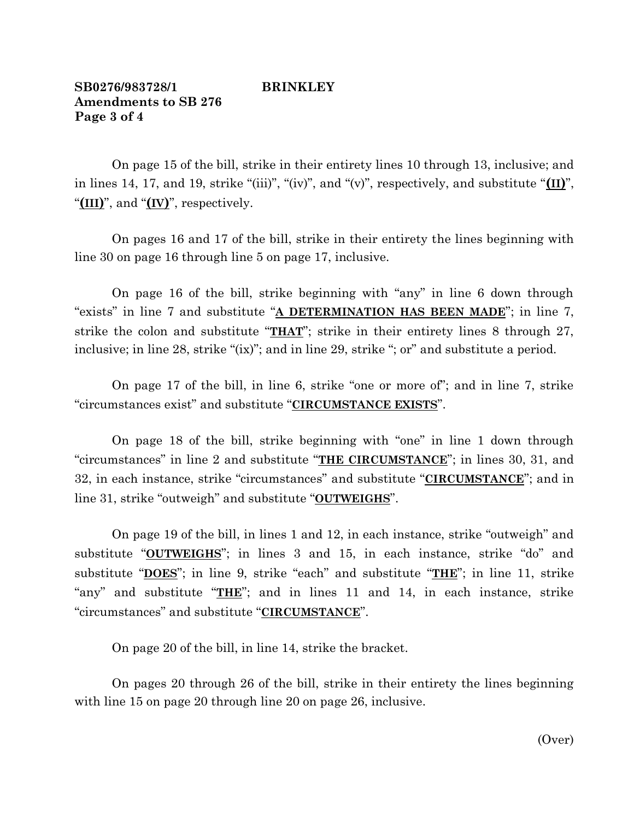## **SB0276/983728/1 BRINKLEY Amendments to SB 276 Page 3 of 4**

On page 15 of the bill, strike in their entirety lines 10 through 13, inclusive; and in lines 14, 17, and 19, strike "(iii)", "(iv)", and "(v)", respectively, and substitute "**(II)**", "**(III)**", and "**(IV)**", respectively.

On pages 16 and 17 of the bill, strike in their entirety the lines beginning with line 30 on page 16 through line 5 on page 17, inclusive.

On page 16 of the bill, strike beginning with "any" in line 6 down through "exists" in line 7 and substitute "**A DETERMINATION HAS BEEN MADE**"; in line 7, strike the colon and substitute "**THAT**"; strike in their entirety lines 8 through 27, inclusive; in line 28, strike "(ix)"; and in line 29, strike "; or" and substitute a period.

On page 17 of the bill, in line 6, strike "one or more of"; and in line 7, strike "circumstances exist" and substitute "**CIRCUMSTANCE EXISTS**".

On page 18 of the bill, strike beginning with "one" in line 1 down through "circumstances" in line 2 and substitute "**THE CIRCUMSTANCE**"; in lines 30, 31, and 32, in each instance, strike "circumstances" and substitute "**CIRCUMSTANCE**"; and in line 31, strike "outweigh" and substitute "**OUTWEIGHS**".

On page 19 of the bill, in lines 1 and 12, in each instance, strike "outweigh" and substitute "**OUTWEIGHS**"; in lines 3 and 15, in each instance, strike "do" and substitute "**DOES**"; in line 9, strike "each" and substitute "**THE**"; in line 11, strike "any" and substitute "**THE**"; and in lines 11 and 14, in each instance, strike "circumstances" and substitute "**CIRCUMSTANCE**".

On page 20 of the bill, in line 14, strike the bracket.

On pages 20 through 26 of the bill, strike in their entirety the lines beginning with line 15 on page 20 through line 20 on page 26, inclusive.